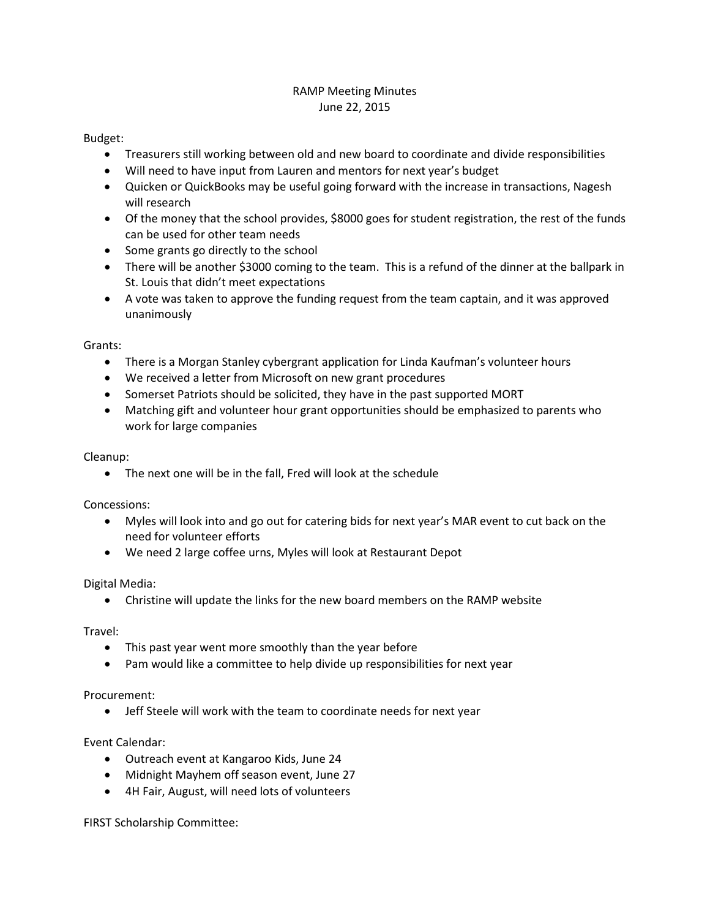# RAMP Meeting Minutes June 22, 2015

### Budget:

- Treasurers still working between old and new board to coordinate and divide responsibilities
- Will need to have input from Lauren and mentors for next year's budget
- Quicken or QuickBooks may be useful going forward with the increase in transactions, Nagesh will research
- Of the money that the school provides, \$8000 goes for student registration, the rest of the funds can be used for other team needs
- Some grants go directly to the school
- There will be another \$3000 coming to the team. This is a refund of the dinner at the ballpark in St. Louis that didn't meet expectations
- A vote was taken to approve the funding request from the team captain, and it was approved unanimously

### Grants:

- There is a Morgan Stanley cybergrant application for Linda Kaufman's volunteer hours
- We received a letter from Microsoft on new grant procedures
- Somerset Patriots should be solicited, they have in the past supported MORT
- Matching gift and volunteer hour grant opportunities should be emphasized to parents who work for large companies

## Cleanup:

• The next one will be in the fall, Fred will look at the schedule

#### Concessions:

- Myles will look into and go out for catering bids for next year's MAR event to cut back on the need for volunteer efforts
- We need 2 large coffee urns, Myles will look at Restaurant Depot

#### Digital Media:

• Christine will update the links for the new board members on the RAMP website

#### Travel:

- This past year went more smoothly than the year before
- Pam would like a committee to help divide up responsibilities for next year

#### Procurement:

• Jeff Steele will work with the team to coordinate needs for next year

#### Event Calendar:

- Outreach event at Kangaroo Kids, June 24
- Midnight Mayhem off season event, June 27
- 4H Fair, August, will need lots of volunteers

FIRST Scholarship Committee: